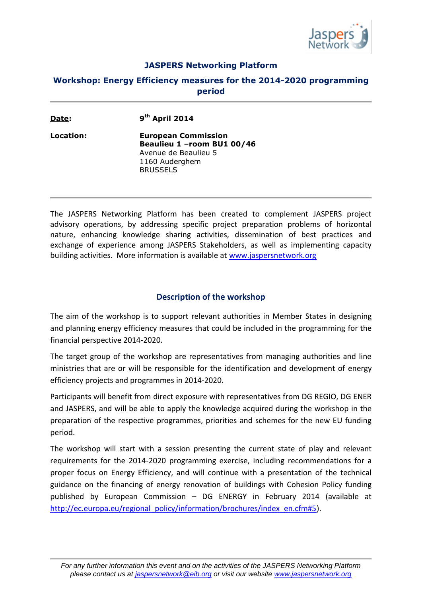

## **JASPERS Networking Platform**

## **Workshop: Energy Efficiency measures for the 2014-2020 programming period**

| Date:     | $9th$ April 2014                                                                                                       |  |
|-----------|------------------------------------------------------------------------------------------------------------------------|--|
| Location: | <b>European Commission</b><br>Beaulieu 1 - room BU1 00/46<br>Avenue de Beaulieu 5<br>1160 Auderghem<br><b>BRUSSELS</b> |  |

The JASPERS Networking Platform has been created to complement JASPERS project advisory operations, by addressing specific project preparation problems of horizontal nature, enhancing knowledge sharing activities, dissemination of best practices and exchange of experience among JASPERS Stakeholders, as well as implementing capacity building activities. More information is available at [www.jaspersnetwork.org](http://www.jaspersnetwork.org/)

## **Description of the workshop**

The aim of the workshop is to support relevant authorities in Member States in designing and planning energy efficiency measures that could be included in the programming for the financial perspective 2014-2020.

The target group of the workshop are representatives from managing authorities and line ministries that are or will be responsible for the identification and development of energy efficiency projects and programmes in 2014-2020.

Participants will benefit from direct exposure with representatives from DG REGIO, DG ENER and JASPERS, and will be able to apply the knowledge acquired during the workshop in the preparation of the respective programmes, priorities and schemes for the new EU funding period.

The workshop will start with a session presenting the current state of play and relevant requirements for the 2014-2020 programming exercise, including recommendations for a proper focus on Energy Efficiency, and will continue with a presentation of the technical guidance on the financing of energy renovation of buildings with Cohesion Policy funding published by European Commission – DG ENERGY in February 2014 (available at [http://ec.europa.eu/regional\\_policy/information/brochures/index\\_en.cfm#5\)](http://ec.europa.eu/regional_policy/information/brochures/index_en.cfm#5).